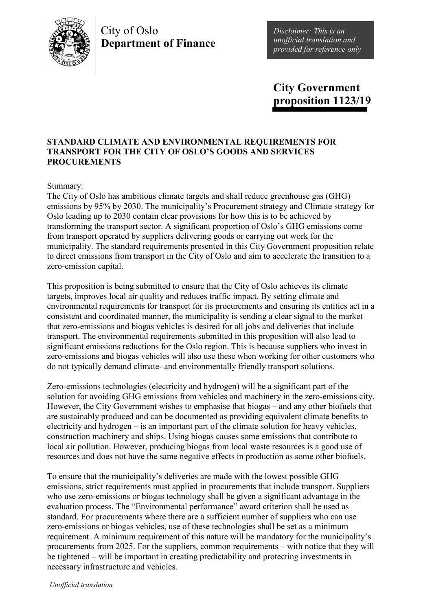

# City of Oslo **Department of Finance**

*Disclaimer: This is an unofficial translation and provided for reference only*

**City Government proposition 1123/19**

### **STANDARD CLIMATE AND ENVIRONMENTAL REQUIREMENTS FOR TRANSPORT FOR THE CITY OF OSLO'S GOODS AND SERVICES PROCUREMENTS**

### Summary:

The City of Oslo has ambitious climate targets and shall reduce greenhouse gas (GHG) emissions by 95% by 2030. The municipality's Procurement strategy and Climate strategy for Oslo leading up to 2030 contain clear provisions for how this is to be achieved by transforming the transport sector. A significant proportion of Oslo's GHG emissions come from transport operated by suppliers delivering goods or carrying out work for the municipality. The standard requirements presented in this City Government proposition relate to direct emissions from transport in the City of Oslo and aim to accelerate the transition to a zero-emission capital.

This proposition is being submitted to ensure that the City of Oslo achieves its climate targets, improves local air quality and reduces traffic impact. By setting climate and environmental requirements for transport for its procurements and ensuring its entities act in a consistent and coordinated manner, the municipality is sending a clear signal to the market that zero-emissions and biogas vehicles is desired for all jobs and deliveries that include transport. The environmental requirements submitted in this proposition will also lead to significant emissions reductions for the Oslo region. This is because suppliers who invest in zero-emissions and biogas vehicles will also use these when working for other customers who do not typically demand climate- and environmentally friendly transport solutions.

Zero-emissions technologies (electricity and hydrogen) will be a significant part of the solution for avoiding GHG emissions from vehicles and machinery in the zero-emissions city. However, the City Government wishes to emphasise that biogas – and any other biofuels that are sustainably produced and can be documented as providing equivalent climate benefits to electricity and hydrogen – is an important part of the climate solution for heavy vehicles, construction machinery and ships. Using biogas causes some emissions that contribute to local air pollution. However, producing biogas from local waste resources is a good use of resources and does not have the same negative effects in production as some other biofuels.

To ensure that the municipality's deliveries are made with the lowest possible GHG emissions, strict requirements must applied in procurements that include transport. Suppliers who use zero-emissions or biogas technology shall be given a significant advantage in the evaluation process. The "Environmental performance" award criterion shall be used as standard. For procurements where there are a sufficient number of suppliers who can use zero-emissions or biogas vehicles, use of these technologies shall be set as a minimum requirement. A minimum requirement of this nature will be mandatory for the municipality's procurements from 2025. For the suppliers, common requirements – with notice that they will be tightened – will be important in creating predictability and protecting investments in necessary infrastructure and vehicles.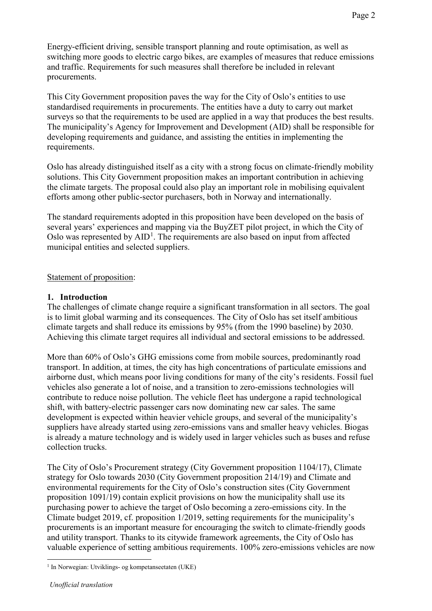Energy-efficient driving, sensible transport planning and route optimisation, as well as switching more goods to electric cargo bikes, are examples of measures that reduce emissions and traffic. Requirements for such measures shall therefore be included in relevant procurements.

This City Government proposition paves the way for the City of Oslo's entities to use standardised requirements in procurements. The entities have a duty to carry out market surveys so that the requirements to be used are applied in a way that produces the best results. The municipality's Agency for Improvement and Development (AID) shall be responsible for developing requirements and guidance, and assisting the entities in implementing the requirements.

Oslo has already distinguished itself as a city with a strong focus on climate-friendly mobility solutions. This City Government proposition makes an important contribution in achieving the climate targets. The proposal could also play an important role in mobilising equivalent efforts among other public-sector purchasers, both in Norway and internationally.

The standard requirements adopted in this proposition have been developed on the basis of several years' experiences and mapping via the BuyZET pilot project, in which the City of Oslo was represented by  $AID<sup>1</sup>$  $AID<sup>1</sup>$  $AID<sup>1</sup>$ . The requirements are also based on input from affected municipal entities and selected suppliers.

### Statement of proposition:

### **1. Introduction**

The challenges of climate change require a significant transformation in all sectors. The goal is to limit global warming and its consequences. The City of Oslo has set itself ambitious climate targets and shall reduce its emissions by 95% (from the 1990 baseline) by 2030. Achieving this climate target requires all individual and sectoral emissions to be addressed.

More than 60% of Oslo's GHG emissions come from mobile sources, predominantly road transport. In addition, at times, the city has high concentrations of particulate emissions and airborne dust, which means poor living conditions for many of the city's residents. Fossil fuel vehicles also generate a lot of noise, and a transition to zero-emissions technologies will contribute to reduce noise pollution. The vehicle fleet has undergone a rapid technological shift, with battery-electric passenger cars now dominating new car sales. The same development is expected within heavier vehicle groups, and several of the municipality's suppliers have already started using zero-emissions vans and smaller heavy vehicles. Biogas is already a mature technology and is widely used in larger vehicles such as buses and refuse collection trucks.

The City of Oslo's Procurement strategy (City Government proposition 1104/17), Climate strategy for Oslo towards 2030 (City Government proposition 214/19) and Climate and environmental requirements for the City of Oslo's construction sites (City Government proposition 1091/19) contain explicit provisions on how the municipality shall use its purchasing power to achieve the target of Oslo becoming a zero-emissions city. In the Climate budget 2019, cf. proposition 1/2019, setting requirements for the municipality's procurements is an important measure for encouraging the switch to climate-friendly goods and utility transport. Thanks to its citywide framework agreements, the City of Oslo has valuable experience of setting ambitious requirements. 100% zero-emissions vehicles are now

<span id="page-1-0"></span><sup>&</sup>lt;sup>1</sup> In Norwegian: Utviklings- og kompetanseetaten (UKE)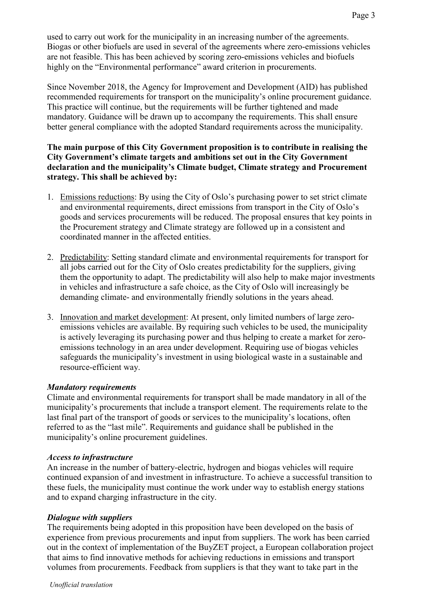used to carry out work for the municipality in an increasing number of the agreements. Biogas or other biofuels are used in several of the agreements where zero-emissions vehicles are not feasible. This has been achieved by scoring zero-emissions vehicles and biofuels highly on the "Environmental performance" award criterion in procurements.

Since November 2018, the Agency for Improvement and Development (AID) has published recommended requirements for transport on the municipality's online procurement guidance. This practice will continue, but the requirements will be further tightened and made mandatory. Guidance will be drawn up to accompany the requirements. This shall ensure better general compliance with the adopted Standard requirements across the municipality.

## **The main purpose of this City Government proposition is to contribute in realising the City Government's climate targets and ambitions set out in the City Government declaration and the municipality's Climate budget, Climate strategy and Procurement strategy. This shall be achieved by:**

- 1. Emissions reductions: By using the City of Oslo's purchasing power to set strict climate and environmental requirements, direct emissions from transport in the City of Oslo's goods and services procurements will be reduced. The proposal ensures that key points in the Procurement strategy and Climate strategy are followed up in a consistent and coordinated manner in the affected entities.
- 2. Predictability: Setting standard climate and environmental requirements for transport for all jobs carried out for the City of Oslo creates predictability for the suppliers, giving them the opportunity to adapt. The predictability will also help to make major investments in vehicles and infrastructure a safe choice, as the City of Oslo will increasingly be demanding climate- and environmentally friendly solutions in the years ahead.
- 3. Innovation and market development: At present, only limited numbers of large zeroemissions vehicles are available. By requiring such vehicles to be used, the municipality is actively leveraging its purchasing power and thus helping to create a market for zeroemissions technology in an area under development. Requiring use of biogas vehicles safeguards the municipality's investment in using biological waste in a sustainable and resource-efficient way.

## *Mandatory requirements*

Climate and environmental requirements for transport shall be made mandatory in all of the municipality's procurements that include a transport element. The requirements relate to the last final part of the transport of goods or services to the municipality's locations, often referred to as the "last mile". Requirements and guidance shall be published in the municipality's online procurement guidelines.

## *Access to infrastructure*

An increase in the number of battery-electric, hydrogen and biogas vehicles will require continued expansion of and investment in infrastructure. To achieve a successful transition to these fuels, the municipality must continue the work under way to establish energy stations and to expand charging infrastructure in the city.

## *Dialogue with suppliers*

The requirements being adopted in this proposition have been developed on the basis of experience from previous procurements and input from suppliers. The work has been carried out in the context of implementation of the BuyZET project, a European collaboration project that aims to find innovative methods for achieving reductions in emissions and transport volumes from procurements. Feedback from suppliers is that they want to take part in the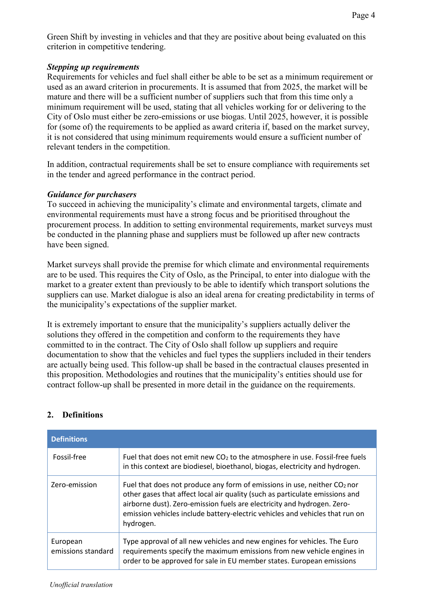Green Shift by investing in vehicles and that they are positive about being evaluated on this criterion in competitive tendering.

### *Stepping up requirements*

Requirements for vehicles and fuel shall either be able to be set as a minimum requirement or used as an award criterion in procurements. It is assumed that from 2025, the market will be mature and there will be a sufficient number of suppliers such that from this time only a minimum requirement will be used, stating that all vehicles working for or delivering to the City of Oslo must either be zero-emissions or use biogas. Until 2025, however, it is possible for (some of) the requirements to be applied as award criteria if, based on the market survey, it is not considered that using minimum requirements would ensure a sufficient number of relevant tenders in the competition.

In addition, contractual requirements shall be set to ensure compliance with requirements set in the tender and agreed performance in the contract period.

#### *Guidance for purchasers*

To succeed in achieving the municipality's climate and environmental targets, climate and environmental requirements must have a strong focus and be prioritised throughout the procurement process. In addition to setting environmental requirements, market surveys must be conducted in the planning phase and suppliers must be followed up after new contracts have been signed.

Market surveys shall provide the premise for which climate and environmental requirements are to be used. This requires the City of Oslo, as the Principal, to enter into dialogue with the market to a greater extent than previously to be able to identify which transport solutions the suppliers can use. Market dialogue is also an ideal arena for creating predictability in terms of the municipality's expectations of the supplier market.

It is extremely important to ensure that the municipality's suppliers actually deliver the solutions they offered in the competition and conform to the requirements they have committed to in the contract. The City of Oslo shall follow up suppliers and require documentation to show that the vehicles and fuel types the suppliers included in their tenders are actually being used. This follow-up shall be based in the contractual clauses presented in this proposition. Methodologies and routines that the municipality's entities should use for contract follow-up shall be presented in more detail in the guidance on the requirements.

## **2. Definitions**

| <b>Definitions</b>             |                                                                                                                                                                                                                                                                                                                                    |
|--------------------------------|------------------------------------------------------------------------------------------------------------------------------------------------------------------------------------------------------------------------------------------------------------------------------------------------------------------------------------|
| Fossil-free                    | Fuel that does not emit new $CO2$ to the atmosphere in use. Fossil-free fuels<br>in this context are biodiesel, bioethanol, biogas, electricity and hydrogen.                                                                                                                                                                      |
| Zero-emission                  | Fuel that does not produce any form of emissions in use, neither $CO2$ nor<br>other gases that affect local air quality (such as particulate emissions and<br>airborne dust). Zero-emission fuels are electricity and hydrogen. Zero-<br>emission vehicles include battery-electric vehicles and vehicles that run on<br>hydrogen. |
| European<br>emissions standard | Type approval of all new vehicles and new engines for vehicles. The Euro<br>requirements specify the maximum emissions from new vehicle engines in<br>order to be approved for sale in EU member states. European emissions                                                                                                        |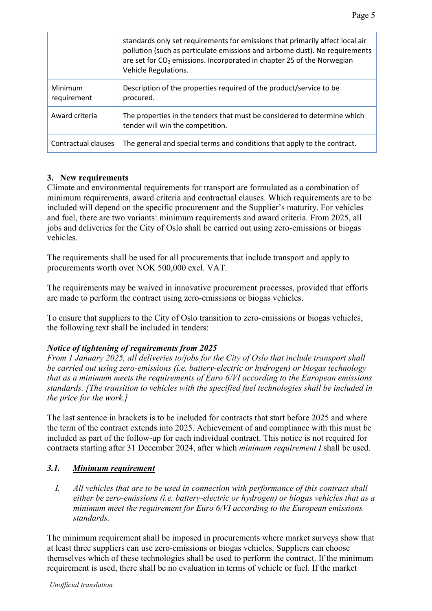|                        | standards only set requirements for emissions that primarily affect local air<br>pollution (such as particulate emissions and airborne dust). No requirements<br>are set for CO <sub>2</sub> emissions. Incorporated in chapter 25 of the Norwegian<br>Vehicle Regulations. |
|------------------------|-----------------------------------------------------------------------------------------------------------------------------------------------------------------------------------------------------------------------------------------------------------------------------|
| Minimum<br>requirement | Description of the properties required of the product/service to be<br>procured.                                                                                                                                                                                            |
| Award criteria         | The properties in the tenders that must be considered to determine which<br>tender will win the competition.                                                                                                                                                                |
| Contractual clauses    | The general and special terms and conditions that apply to the contract.                                                                                                                                                                                                    |

# **3. New requirements**

Climate and environmental requirements for transport are formulated as a combination of minimum requirements, award criteria and contractual clauses. Which requirements are to be included will depend on the specific procurement and the Supplier's maturity. For vehicles and fuel, there are two variants: minimum requirements and award criteria. From 2025, all jobs and deliveries for the City of Oslo shall be carried out using zero-emissions or biogas vehicles.

The requirements shall be used for all procurements that include transport and apply to procurements worth over NOK 500,000 excl. VAT.

The requirements may be waived in innovative procurement processes, provided that efforts are made to perform the contract using zero-emissions or biogas vehicles.

To ensure that suppliers to the City of Oslo transition to zero-emissions or biogas vehicles, the following text shall be included in tenders:

## *Notice of tightening of requirements from 2025*

*From 1 January 2025, all deliveries to/jobs for the City of Oslo that include transport shall be carried out using zero-emissions (i.e. battery-electric or hydrogen) or biogas technology that as a minimum meets the requirements of Euro 6/VI according to the European emissions standards. [The transition to vehicles with the specified fuel technologies shall be included in the price for the work.]*

The last sentence in brackets is to be included for contracts that start before 2025 and where the term of the contract extends into 2025. Achievement of and compliance with this must be included as part of the follow-up for each individual contract. This notice is not required for contracts starting after 31 December 2024, after which *minimum requirement I* shall be used.

## *3.1. Minimum requirement*

*I. All vehicles that are to be used in connection with performance of this contract shall either be zero-emissions (i.e. battery-electric or hydrogen) or biogas vehicles that as a minimum meet the requirement for Euro 6/VI according to the European emissions standards.*

The minimum requirement shall be imposed in procurements where market surveys show that at least three suppliers can use zero-emissions or biogas vehicles. Suppliers can choose themselves which of these technologies shall be used to perform the contract. If the minimum requirement is used, there shall be no evaluation in terms of vehicle or fuel. If the market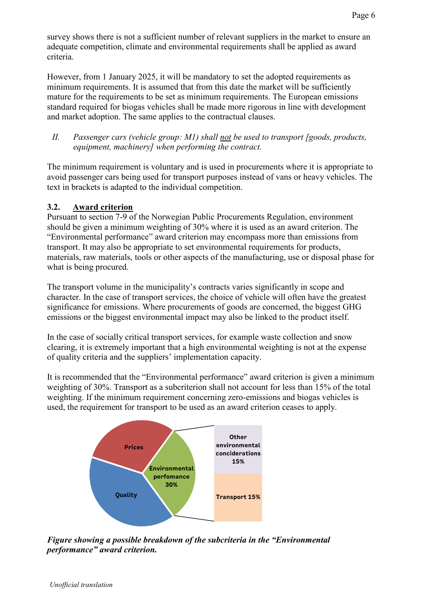survey shows there is not a sufficient number of relevant suppliers in the market to ensure an adequate competition, climate and environmental requirements shall be applied as award criteria.

However, from 1 January 2025, it will be mandatory to set the adopted requirements as minimum requirements. It is assumed that from this date the market will be sufficiently mature for the requirements to be set as minimum requirements. The European emissions standard required for biogas vehicles shall be made more rigorous in line with development and market adoption. The same applies to the contractual clauses.

## *II. Passenger cars (vehicle group: M1) shall not be used to transport [goods, products, equipment, machinery] when performing the contract.*

The minimum requirement is voluntary and is used in procurements where it is appropriate to avoid passenger cars being used for transport purposes instead of vans or heavy vehicles. The text in brackets is adapted to the individual competition.

## **3.2. Award criterion**

Pursuant to section 7-9 of the Norwegian Public Procurements Regulation, environment should be given a minimum weighting of 30% where it is used as an award criterion. The "Environmental performance" award criterion may encompass more than emissions from transport. It may also be appropriate to set environmental requirements for products, materials, raw materials, tools or other aspects of the manufacturing, use or disposal phase for what is being procured.

The transport volume in the municipality's contracts varies significantly in scope and character. In the case of transport services, the choice of vehicle will often have the greatest significance for emissions. Where procurements of goods are concerned, the biggest GHG emissions or the biggest environmental impact may also be linked to the product itself.

In the case of socially critical transport services, for example waste collection and snow clearing, it is extremely important that a high environmental weighting is not at the expense of quality criteria and the suppliers' implementation capacity.

It is recommended that the "Environmental performance" award criterion is given a minimum weighting of 30%. Transport as a subcriterion shall not account for less than 15% of the total weighting. If the minimum requirement concerning zero-emissions and biogas vehicles is used, the requirement for transport to be used as an award criterion ceases to apply.



*Figure showing a possible breakdown of the subcriteria in the "Environmental performance" award criterion.*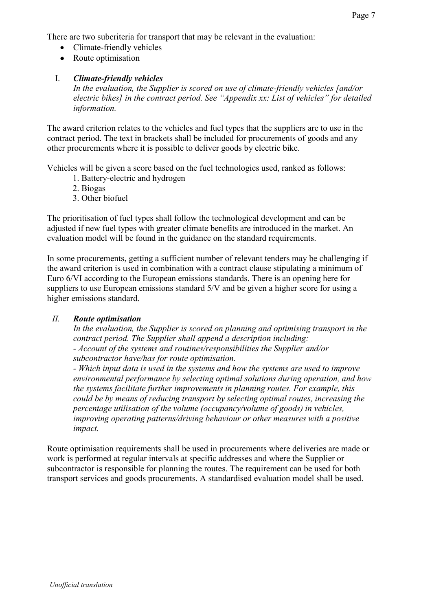There are two subcriteria for transport that may be relevant in the evaluation:

- Climate-friendly vehicles
- Route optimisation

# I. *Climate-friendly vehicles*

*In the evaluation, the Supplier is scored on use of climate-friendly vehicles [and/or electric bikes] in the contract period. See "Appendix xx: List of vehicles" for detailed information.*

The award criterion relates to the vehicles and fuel types that the suppliers are to use in the contract period. The text in brackets shall be included for procurements of goods and any other procurements where it is possible to deliver goods by electric bike.

Vehicles will be given a score based on the fuel technologies used, ranked as follows:

- 1. Battery-electric and hydrogen
- 2. Biogas
- 3. Other biofuel

The prioritisation of fuel types shall follow the technological development and can be adjusted if new fuel types with greater climate benefits are introduced in the market. An evaluation model will be found in the guidance on the standard requirements.

In some procurements, getting a sufficient number of relevant tenders may be challenging if the award criterion is used in combination with a contract clause stipulating a minimum of Euro 6/VI according to the European emissions standards. There is an opening here for suppliers to use European emissions standard 5/V and be given a higher score for using a higher emissions standard.

## *II. Route optimisation*

*In the evaluation, the Supplier is scored on planning and optimising transport in the contract period. The Supplier shall append a description including: - Account of the systems and routines/responsibilities the Supplier and/or* 

*subcontractor have/has for route optimisation.*

*- Which input data is used in the systems and how the systems are used to improve environmental performance by selecting optimal solutions during operation, and how the systems facilitate further improvements in planning routes. For example, this could be by means of reducing transport by selecting optimal routes, increasing the percentage utilisation of the volume (occupancy/volume of goods) in vehicles, improving operating patterns/driving behaviour or other measures with a positive impact.*

Route optimisation requirements shall be used in procurements where deliveries are made or work is performed at regular intervals at specific addresses and where the Supplier or subcontractor is responsible for planning the routes. The requirement can be used for both transport services and goods procurements. A standardised evaluation model shall be used.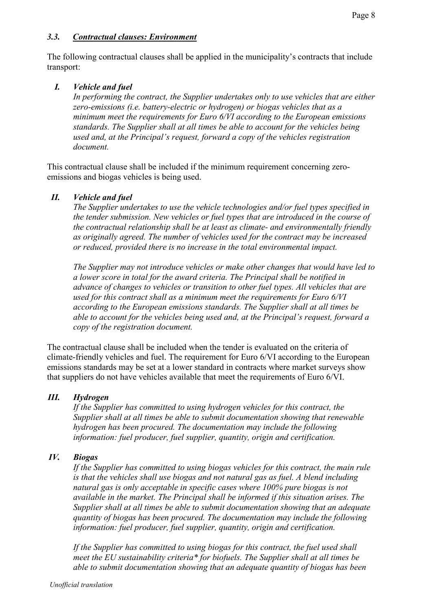The following contractual clauses shall be applied in the municipality's contracts that include transport:

# *I. Vehicle and fuel*

*In performing the contract, the Supplier undertakes only to use vehicles that are either zero-emissions (i.e. battery-electric or hydrogen) or biogas vehicles that as a minimum meet the requirements for Euro 6/VI according to the European emissions standards. The Supplier shall at all times be able to account for the vehicles being used and, at the Principal's request, forward a copy of the vehicles registration document.*

This contractual clause shall be included if the minimum requirement concerning zeroemissions and biogas vehicles is being used.

# *II. Vehicle and fuel*

*The Supplier undertakes to use the vehicle technologies and/or fuel types specified in the tender submission. New vehicles or fuel types that are introduced in the course of the contractual relationship shall be at least as climate- and environmentally friendly as originally agreed. The number of vehicles used for the contract may be increased or reduced, provided there is no increase in the total environmental impact.*

*The Supplier may not introduce vehicles or make other changes that would have led to a lower score in total for the award criteria. The Principal shall be notified in advance of changes to vehicles or transition to other fuel types. All vehicles that are used for this contract shall as a minimum meet the requirements for Euro 6/VI according to the European emissions standards. The Supplier shall at all times be able to account for the vehicles being used and, at the Principal's request, forward a copy of the registration document.*

The contractual clause shall be included when the tender is evaluated on the criteria of climate-friendly vehicles and fuel. The requirement for Euro 6/VI according to the European emissions standards may be set at a lower standard in contracts where market surveys show that suppliers do not have vehicles available that meet the requirements of Euro 6/VI.

# *III. Hydrogen*

*If the Supplier has committed to using hydrogen vehicles for this contract, the Supplier shall at all times be able to submit documentation showing that renewable hydrogen has been procured. The documentation may include the following information: fuel producer, fuel supplier, quantity, origin and certification.*

# *IV. Biogas*

*If the Supplier has committed to using biogas vehicles for this contract, the main rule is that the vehicles shall use biogas and not natural gas as fuel. A blend including natural gas is only acceptable in specific cases where 100% pure biogas is not available in the market. The Principal shall be informed if this situation arises. The Supplier shall at all times be able to submit documentation showing that an adequate quantity of biogas has been procured. The documentation may include the following information: fuel producer, fuel supplier, quantity, origin and certification.* 

*If the Supplier has committed to using biogas for this contract, the fuel used shall meet the EU sustainability criteria\* for biofuels. The Supplier shall at all times be able to submit documentation showing that an adequate quantity of biogas has been*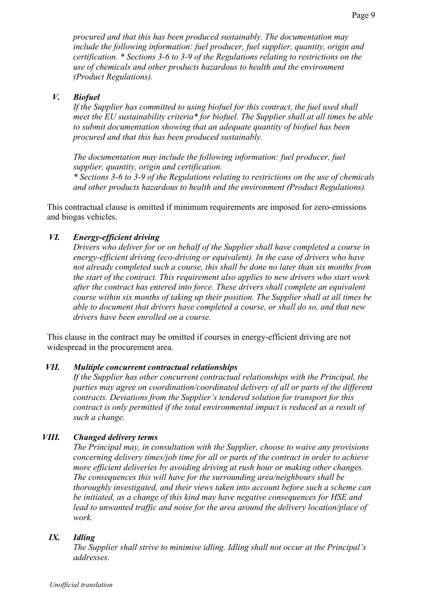*procured and that this has been produced sustainably. The documentation may include the following information: fuel producer, fuel supplier, quantity, origin and certification. \* Sections 3-6 to 3-9 of the Regulations relating to restrictions on the use of chemicals and other products hazardous to health and the environment (Product Regulations).*

### *V. Biofuel*

*If the Supplier has committed to using biofuel for this contract, the fuel used shall meet the EU sustainability criteria\* for biofuel. The Supplier shall at all times be able to submit documentation showing that an adequate quantity of biofuel has been procured and that this has been produced sustainably.*

*The documentation may include the following information: fuel producer, fuel supplier, quantity, origin and certification.*

*\* Sections 3-6 to 3-9 of the Regulations relating to restrictions on the use of chemicals and other products hazardous to health and the environment (Product Regulations).*

This contractual clause is omitted if minimum requirements are imposed for zero-emissions and biogas vehicles.

### *VI. Energy-efficient driving*

*Drivers who deliver for or on behalf of the Supplier shall have completed a course in energy-efficient driving (eco-driving or equivalent). In the case of drivers who have not already completed such a course, this shall be done no later than six months from the start of the contract. This requirement also applies to new drivers who start work after the contract has entered into force. These drivers shall complete an equivalent course within six months of taking up their position. The Supplier shall at all times be able to document that drivers have completed a course, or shall do so, and that new drivers have been enrolled on a course.*

This clause in the contract may be omitted if courses in energy-efficient driving are not widespread in the procurement area.

#### *VII. Multiple concurrent contractual relationships*

*If the Supplier has other concurrent contractual relationships with the Principal, the parties may agree on coordination/coordinated delivery of all or parts of the different contracts. Deviations from the Supplier's tendered solution for transport for this contract is only permitted if the total environmental impact is reduced as a result of such a change.*

#### *VIII. Changed delivery terms*

*The Principal may, in consultation with the Supplier, choose to waive any provisions concerning delivery times/job time for all or parts of the contract in order to achieve more efficient deliveries by avoiding driving at rush hour or making other changes. The consequences this will have for the surrounding area/neighbours shall be thoroughly investigated, and their views taken into account before such a scheme can be initiated, as a change of this kind may have negative consequences for HSE and lead to unwanted traffic and noise for the area around the delivery location/place of work.*

### *IX. Idling*

*The Supplier shall strive to minimise idling. Idling shall not occur at the Principal's addresses.*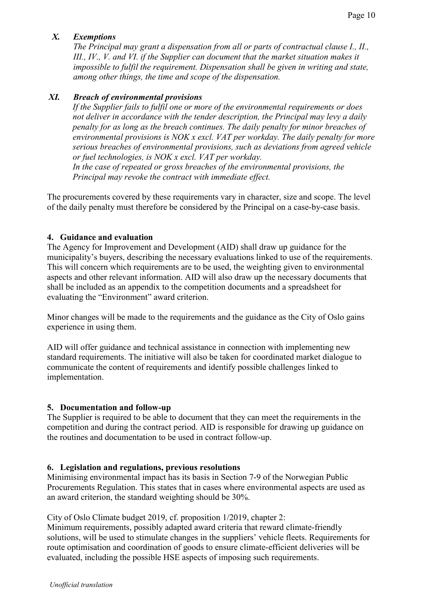# *X. Exemptions*

*The Principal may grant a dispensation from all or parts of contractual clause I., II., III., IV., V. and VI. if the Supplier can document that the market situation makes it impossible to fulfil the requirement. Dispensation shall be given in writing and state, among other things, the time and scope of the dispensation.* 

## *XI. Breach of environmental provisions*

*If the Supplier fails to fulfil one or more of the environmental requirements or does not deliver in accordance with the tender description, the Principal may levy a daily penalty for as long as the breach continues. The daily penalty for minor breaches of environmental provisions is NOK x excl. VAT per workday. The daily penalty for more serious breaches of environmental provisions, such as deviations from agreed vehicle or fuel technologies, is NOK x excl. VAT per workday.* 

*In the case of repeated or gross breaches of the environmental provisions, the Principal may revoke the contract with immediate effect.*

The procurements covered by these requirements vary in character, size and scope. The level of the daily penalty must therefore be considered by the Principal on a case-by-case basis.

## **4. Guidance and evaluation**

The Agency for Improvement and Development (AID) shall draw up guidance for the municipality's buyers, describing the necessary evaluations linked to use of the requirements. This will concern which requirements are to be used, the weighting given to environmental aspects and other relevant information. AID will also draw up the necessary documents that shall be included as an appendix to the competition documents and a spreadsheet for evaluating the "Environment" award criterion.

Minor changes will be made to the requirements and the guidance as the City of Oslo gains experience in using them.

AID will offer guidance and technical assistance in connection with implementing new standard requirements. The initiative will also be taken for coordinated market dialogue to communicate the content of requirements and identify possible challenges linked to implementation.

## **5. Documentation and follow-up**

The Supplier is required to be able to document that they can meet the requirements in the competition and during the contract period. AID is responsible for drawing up guidance on the routines and documentation to be used in contract follow-up.

#### **6. Legislation and regulations, previous resolutions**

Minimising environmental impact has its basis in Section 7-9 of the Norwegian Public Procurements Regulation. This states that in cases where environmental aspects are used as an award criterion, the standard weighting should be 30%.

#### City of Oslo Climate budget 2019, cf. proposition 1/2019, chapter 2:

Minimum requirements, possibly adapted award criteria that reward climate-friendly solutions, will be used to stimulate changes in the suppliers' vehicle fleets. Requirements for route optimisation and coordination of goods to ensure climate-efficient deliveries will be evaluated, including the possible HSE aspects of imposing such requirements.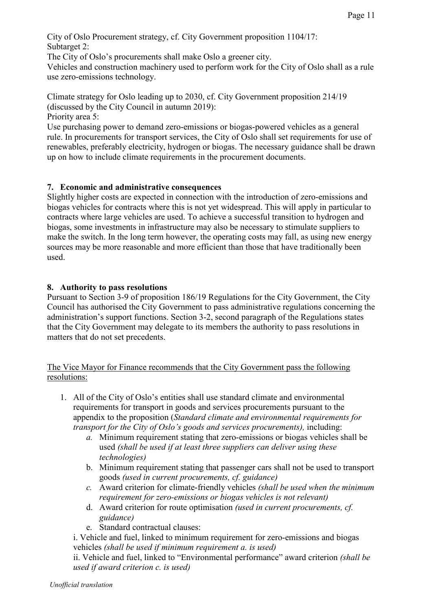City of Oslo Procurement strategy, cf. City Government proposition 1104/17: Subtarget 2:

The City of Oslo's procurements shall make Oslo a greener city.

Vehicles and construction machinery used to perform work for the City of Oslo shall as a rule use zero-emissions technology.

Climate strategy for Oslo leading up to 2030, cf. City Government proposition 214/19 (discussed by the City Council in autumn 2019):

Priority area 5:

Use purchasing power to demand zero-emissions or biogas-powered vehicles as a general rule. In procurements for transport services, the City of Oslo shall set requirements for use of renewables, preferably electricity, hydrogen or biogas. The necessary guidance shall be drawn up on how to include climate requirements in the procurement documents.

## **7. Economic and administrative consequences**

Slightly higher costs are expected in connection with the introduction of zero-emissions and biogas vehicles for contracts where this is not yet widespread. This will apply in particular to contracts where large vehicles are used. To achieve a successful transition to hydrogen and biogas, some investments in infrastructure may also be necessary to stimulate suppliers to make the switch. In the long term however, the operating costs may fall, as using new energy sources may be more reasonable and more efficient than those that have traditionally been used.

## **8. Authority to pass resolutions**

Pursuant to Section 3-9 of proposition 186/19 Regulations for the City Government, the City Council has authorised the City Government to pass administrative regulations concerning the administration's support functions. Section 3-2, second paragraph of the Regulations states that the City Government may delegate to its members the authority to pass resolutions in matters that do not set precedents.

## The Vice Mayor for Finance recommends that the City Government pass the following resolutions:

- 1. All of the City of Oslo's entities shall use standard climate and environmental requirements for transport in goods and services procurements pursuant to the appendix to the proposition (*Standard climate and environmental requirements for transport for the City of Oslo's goods and services procurements),* including:
	- *a.* Minimum requirement stating that zero-emissions or biogas vehicles shall be used *(shall be used if at least three suppliers can deliver using these technologies)*
	- b. Minimum requirement stating that passenger cars shall not be used to transport goods *(used in current procurements, cf. guidance)*
	- *c.* Award criterion for climate-friendly vehicles *(shall be used when the minimum requirement for zero-emissions or biogas vehicles is not relevant)*
	- d. Award criterion for route optimisation *(used in current procurements, cf. guidance)*
	- e. Standard contractual clauses:
	- i. Vehicle and fuel, linked to minimum requirement for zero-emissions and biogas vehicles *(shall be used if minimum requirement a. is used)*

ii. Vehicle and fuel, linked to "Environmental performance" award criterion *(shall be used if award criterion c. is used)*